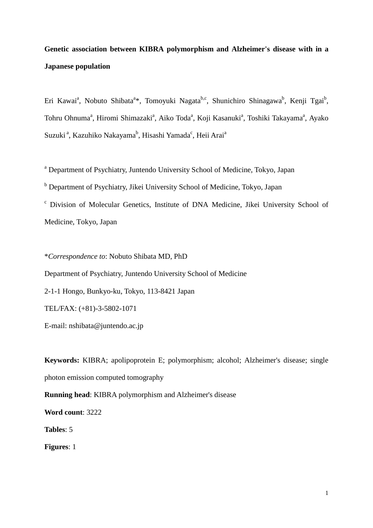# **Genetic association between KIBRA polymorphism and Alzheimer's disease with in a Japanese population**

Eri Kawai<sup>a</sup>, Nobuto Shibata<sup>a</sup>\*, Tomoyuki Nagata<sup>b,c</sup>, Shunichiro Shinagawa<sup>b</sup>, Kenji Tgai<sup>b</sup>, Tohru Ohnuma<sup>a</sup>, Hiromi Shimazaki<sup>a</sup>, Aiko Toda<sup>a</sup>, Koji Kasanuki<sup>a</sup>, Toshiki Takayama<sup>a</sup>, Ayako Suzuki<sup>a</sup>, Kazuhiko Nakayama<sup>b</sup>, Hisashi Yamada<sup>c</sup>, Heii Arai<sup>a</sup>

<sup>a</sup> Department of Psychiatry, Juntendo University School of Medicine, Tokyo, Japan <sup>b</sup> Department of Psychiatry, Jikei University School of Medicine, Tokyo, Japan <sup>c</sup> Division of Molecular Genetics, Institute of DNA Medicine, Jikei University School of Medicine, Tokyo, Japan

\**Correspondence to*: Nobuto Shibata MD, PhD

Department of Psychiatry, Juntendo University School of Medicine

2-1-1 Hongo, Bunkyo-ku, Tokyo, 113-8421 Japan

TEL/FAX: (+81)-3-5802-1071

E-mail: [nshibata@juntendo.ac.jp](mailto:nshibata@juntendo.ac.jp)

**Keywords:** KIBRA; apolipoprotein E; polymorphism; alcohol; Alzheimer's disease; single photon emission computed tomography

**Running head**: KIBRA polymorphism and Alzheimer's disease

**Word count**: 3222

**Tables**: 5

**Figures**: 1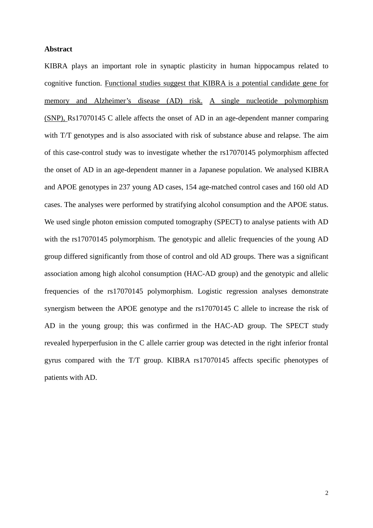#### **Abstract**

KIBRA plays an important role in synaptic plasticity in human hippocampus related to cognitive function. Functional studies suggest that KIBRA is a potential candidate gene for memory and Alzheimer's disease (AD) risk. A single nucleotide polymorphism (SNP), Rs17070145 C allele affects the onset of AD in an age-dependent manner comparing with T/T genotypes and is also associated with risk of substance abuse and relapse. The aim of this case-control study was to investigate whether the rs17070145 polymorphism affected the onset of AD in an age-dependent manner in a Japanese population. We analysed KIBRA and APOE genotypes in 237 young AD cases, 154 age-matched control cases and 160 old AD cases. The analyses were performed by stratifying alcohol consumption and the APOE status. We used single photon emission computed tomography (SPECT) to analyse patients with AD with the rs17070145 polymorphism. The genotypic and allelic frequencies of the young AD group differed significantly from those of control and old AD groups. There was a significant association among high alcohol consumption (HAC-AD group) and the genotypic and allelic frequencies of the rs17070145 polymorphism. Logistic regression analyses demonstrate synergism between the APOE genotype and the rs17070145 C allele to increase the risk of AD in the young group; this was confirmed in the HAC-AD group. The SPECT study revealed hyperperfusion in the C allele carrier group was detected in the right inferior frontal gyrus compared with the T/T group. KIBRA rs17070145 affects specific phenotypes of patients with AD.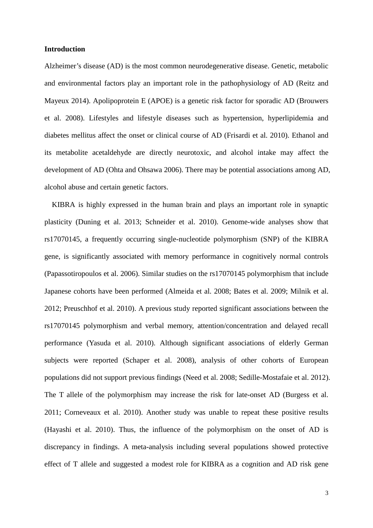#### **Introduction**

Alzheimer's disease (AD) is the most common neurodegenerative disease. Genetic, metabolic and environmental factors play an important role in the pathophysiology of AD [\(Reitz and](#page-14-0)  [Mayeux 2014\)](#page-14-0). Apolipoprotein E (APOE) is a genetic risk factor for sporadic AD [\(Brouwers](#page-13-0)  [et al. 2008\)](#page-13-0). Lifestyles and lifestyle diseases such as hypertension, hyperlipidemia and diabetes mellitus affect the onset or clinical course of AD [\(Frisardi et al. 2010\)](#page-13-1). Ethanol and its metabolite acetaldehyde are directly neurotoxic, and alcohol intake may affect the development of AD [\(Ohta and Ohsawa 2006\)](#page-14-1). There may be potential associations among AD, alcohol abuse and certain genetic factors.

KIBRA is highly expressed in the human brain and plays an important role in synaptic plasticity [\(Duning et al. 2013;](#page-13-2) [Schneider et al. 2010\)](#page-14-2). Genome-wide analyses show that rs17070145, a frequently occurring single-nucleotide polymorphism (SNP) of the KIBRA gene, is significantly associated with memory performance in cognitively normal controls [\(Papassotiropoulos et al. 2006\)](#page-14-3). Similar studies on the rs17070145 polymorphism that include Japanese cohorts have been performed [\(Almeida et al. 2008;](#page-13-3) [Bates et al. 2009;](#page-13-4) [Milnik et al.](#page-13-5)  [2012;](#page-13-5) [Preuschhof et al. 2010\)](#page-14-4). A previous study reported significant associations between the rs17070145 polymorphism and verbal memory, attention/concentration and delayed recall performance [\(Yasuda et al. 2010\)](#page-14-5). Although significant associations of elderly German subjects were reported [\(Schaper et al. 2008\)](#page-14-6), analysis of other cohorts of European populations did not support previous findings [\(Need et al. 2008;](#page-13-6) [Sedille-Mostafaie et al. 2012\)](#page-14-7). The T allele of the polymorphism may increase the risk for late-onset AD [\(Burgess et al.](#page-13-7)  [2011;](#page-13-7) [Corneveaux et al. 2010\)](#page-13-8). Another study was unable to repeat these positive results [\(Hayashi et al. 2010\)](#page-13-9). Thus, the influence of the polymorphism on the onset of AD is discrepancy in findings. A meta-analysis including several populations showed protective effect of T allele and suggested a modest role for KIBRA as a cognition and AD risk gene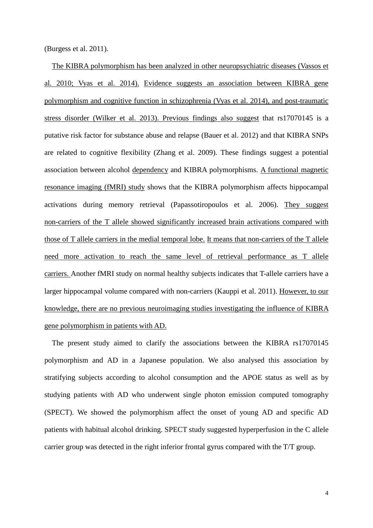[\(Burgess et al. 2011\)](#page-13-7).

The KIBRA polymorphism has been analyzed in other neuropsychiatric diseases [\(Vassos et](#page-14-8)  [al. 2010;](#page-14-8) [Vyas et al. 2014\)](#page-14-9). Evidence suggests an association between KIBRA gene polymorphism and cognitive function in schizophrenia (Vyas et al. 2014), and post-traumatic stress disorder (Wilker et al. 2013). Previous findings also suggest that rs17070145 is a putative risk factor for substance abuse and relapse [\(Bauer et al. 2012\)](#page-13-10) and that KIBRA SNPs are related to cognitive flexibility [\(Zhang et al. 2009\)](#page-14-10). These findings suggest a potential association between alcohol dependency and KIBRA polymorphisms. A functional magnetic resonance imaging (fMRI) study shows that the KIBRA polymorphism affects hippocampal activations during memory retrieval [\(Papassotiropoulos et al. 2006\)](#page-14-3). They suggest non-carriers of the T allele showed significantly increased brain activations compared with those of T allele carriers in the medial temporal lobe. It means that non-carriers of the T allele need more activation to reach the same level of retrieval performance as T allele carriers. Another fMRI study on normal healthy subjects indicates that T-allele carriers have a larger hippocampal volume compared with non-carriers [\(Kauppi et al. 2011\)](#page-13-11). However, to our knowledge, there are no previous neuroimaging studies investigating the influence of KIBRA gene polymorphism in patients with AD.

The present study aimed to clarify the associations between the KIBRA rs17070145 polymorphism and AD in a Japanese population. We also analysed this association by stratifying subjects according to alcohol consumption and the APOE status as well as by studying patients with AD who underwent single photon emission computed tomography (SPECT). We showed the polymorphism affect the onset of young AD and specific AD patients with habitual alcohol drinking. SPECT study suggested hyperperfusion in the C allele carrier group was detected in the right inferior frontal gyrus compared with the T/T group.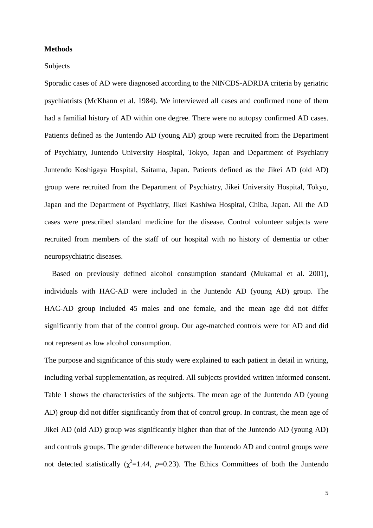#### **Methods**

#### Subjects

Sporadic cases of AD were diagnosed according to the NINCDS-ADRDA criteria by geriatric psychiatrists [\(McKhann et al. 1984\)](#page-13-12). We interviewed all cases and confirmed none of them had a familial history of AD within one degree. There were no autopsy confirmed AD cases. Patients defined as the Juntendo AD (young AD) group were recruited from the Department of Psychiatry, Juntendo University Hospital, Tokyo, Japan and Department of Psychiatry Juntendo Koshigaya Hospital, Saitama, Japan. Patients defined as the Jikei AD (old AD) group were recruited from the Department of Psychiatry, Jikei University Hospital, Tokyo, Japan and the Department of Psychiatry, Jikei Kashiwa Hospital, Chiba, Japan. All the AD cases were prescribed standard medicine for the disease. Control volunteer subjects were recruited from members of the staff of our hospital with no history of dementia or other neuropsychiatric diseases.

Based on previously defined alcohol consumption standard [\(Mukamal et al. 2001\)](#page-13-13), individuals with HAC-AD were included in the Juntendo AD (young AD) group. The HAC-AD group included 45 males and one female, and the mean age did not differ significantly from that of the control group. Our age-matched controls were for AD and did not represent as low alcohol consumption.

The purpose and significance of this study were explained to each patient in detail in writing, including verbal supplementation, as required. All subjects provided written informed consent. Table 1 shows the characteristics of the subjects. The mean age of the Juntendo AD (young AD) group did not differ significantly from that of control group. In contrast, the mean age of Jikei AD (old AD) group was significantly higher than that of the Juntendo AD (young AD) and controls groups. The gender difference between the Juntendo AD and control groups were not detected statistically  $(\chi^2=1.44, p=0.23)$ . The Ethics Committees of both the Juntendo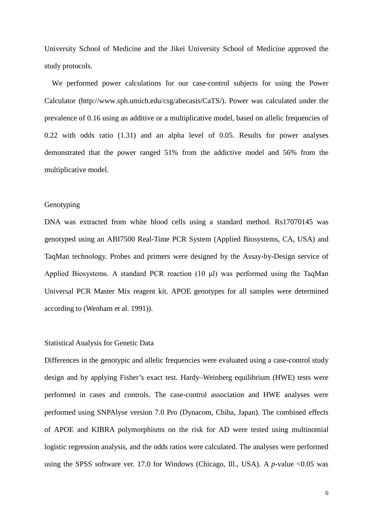University School of Medicine and the Jikei University School of Medicine approved the study protocols.

We performed power calculations for our case-control subjects for using the Power Calculator (http://www.sph.umich.edu/csg/abecasis/CaTS/). Power was calculated under the prevalence of 0.16 using an additive or a multiplicative model, based on allelic frequencies of 0.22 with odds ratio (1.31) and an alpha level of 0.05. Results for power analyses demonstrated that the power ranged 51% from the addictive model and 56% from the multiplicative model.

#### Genotyping

DNA was extracted from white blood cells using a standard method. Rs17070145 was genotyped using an ABI7500 Real-Time PCR System (Applied Biosystems, CA, USA) and TaqMan technology. Probes and primers were designed by the Assay-by-Design service of Applied Biosystems. A standard PCR reaction (10 μl) was performed using the TaqMan Universal PCR Master Mix reagent kit. APOE genotypes for all samples were determined according to [\(Wenham et al. 1991\)](#page-14-11)).

#### Statistical Analysis for Genetic Data

Differences in the genotypic and allelic frequencies were evaluated using a case-control study design and by applying Fisher's exact test. Hardy–Weinberg equilibrium (HWE) tests were performed in cases and controls. The case-control association and HWE analyses were performed using SNPAlyse version 7.0 Pro (Dynacom, Chiba, Japan). The combined effects of APOE and KIBRA polymorphisms on the risk for AD were tested using multinomial logistic regression analysis, and the odds ratios were calculated. The analyses were performed using the SPSS software ver. 17.0 for Windows (Chicago, Ill., USA). A *p*-value <0.05 was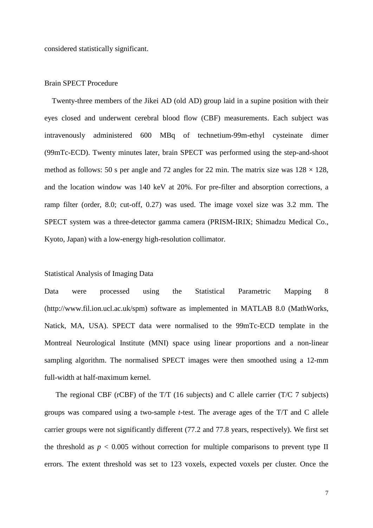considered statistically significant.

#### Brain SPECT Procedure

Twenty-three members of the Jikei AD (old AD) group laid in a supine position with their eyes closed and underwent cerebral blood flow (CBF) measurements. Each subject was intravenously administered 600 MBq of technetium-99m-ethyl cysteinate dimer (99mTc-ECD). Twenty minutes later, brain SPECT was performed using the step-and-shoot method as follows: 50 s per angle and 72 angles for 22 min. The matrix size was  $128 \times 128$ , and the location window was 140 keV at 20%. For pre-filter and absorption corrections, a ramp filter (order, 8.0; cut-off, 0.27) was used. The image voxel size was 3.2 mm. The SPECT system was a three-detector gamma camera (PRISM-IRIX; Shimadzu Medical Co., Kyoto, Japan) with a low-energy high-resolution collimator.

#### Statistical Analysis of Imaging Data

Data were processed using the Statistical Parametric Mapping 8 [\(http://www.fil.ion.ucl.ac.uk/spm\)](http://www.fil.ion.ucl.ac.uk/spm) software as implemented in MATLAB 8.0 (MathWorks, Natick, MA, USA). SPECT data were normalised to the 99mTc-ECD template in the Montreal Neurological Institute (MNI) space using linear proportions and a non-linear sampling algorithm. The normalised SPECT images were then smoothed using a 12-mm full-width at half-maximum kernel.

The regional CBF (rCBF) of the T/T (16 subjects) and C allele carrier (T/C 7 subjects) groups was compared using a two-sample *t*-test. The average ages of the T/T and C allele carrier groups were not significantly different (77.2 and 77.8 years, respectively). We first set the threshold as  $p < 0.005$  without correction for multiple comparisons to prevent type II errors. The extent threshold was set to 123 voxels, expected voxels per cluster. Once the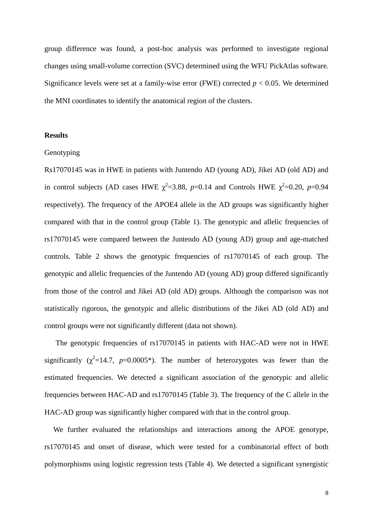group difference was found, a post-hoc analysis was performed to investigate regional changes using small-volume correction (SVC) determined using the WFU PickAtlas software. Significance levels were set at a family-wise error (FWE) corrected  $p < 0.05$ . We determined the MNI coordinates to identify the anatomical region of the clusters.

## **Results**

#### Genotyping

Rs17070145 was in HWE in patients with Juntendo AD (young AD), Jikei AD (old AD) and in control subjects (AD cases HWE  $\chi^2$ =3.88, *p*=0.14 and Controls HWE  $\chi^2$ =0.20, *p*=0.94 respectively). The frequency of the APOE4 allele in the AD groups was significantly higher compared with that in the control group (Table 1). The genotypic and allelic frequencies of rs17070145 were compared between the Juntendo AD (young AD) group and age-matched controls. Table 2 shows the genotypic frequencies of rs17070145 of each group. The genotypic and allelic frequencies of the Juntendo AD (young AD) group differed significantly from those of the control and Jikei AD (old AD) groups. Although the comparison was not statistically rigorous, the genotypic and allelic distributions of the Jikei AD (old AD) and control groups were not significantly different (data not shown).

The genotypic frequencies of rs17070145 in patients with HAC-AD were not in HWE significantly  $(\chi^2=14.7, p=0.0005^*)$ . The number of heterozygotes was fewer than the estimated frequencies. We detected a significant association of the genotypic and allelic frequencies between HAC-AD and rs17070145 (Table 3). The frequency of the C allele in the HAC-AD group was significantly higher compared with that in the control group.

We further evaluated the relationships and interactions among the APOE genotype, rs17070145 and onset of disease, which were tested for a combinatorial effect of both polymorphisms using logistic regression tests (Table 4). We detected a significant synergistic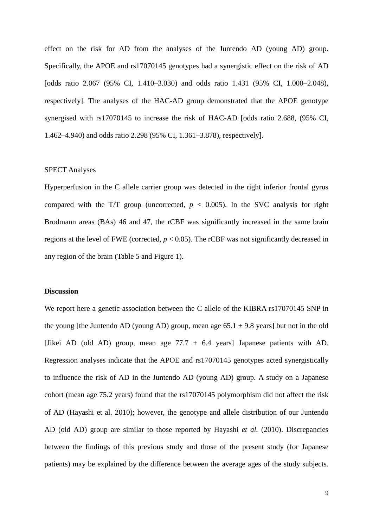effect on the risk for AD from the analyses of the Juntendo AD (young AD) group. Specifically, the APOE and rs17070145 genotypes had a synergistic effect on the risk of AD [odds ratio 2.067 (95% CI, 1.410–3.030) and odds ratio 1.431 (95% CI, 1.000–2.048), respectively]. The analyses of the HAC-AD group demonstrated that the APOE genotype synergised with rs17070145 to increase the risk of HAC-AD [odds ratio 2.688, (95% CI, 1.462–4.940) and odds ratio 2.298 (95% CI, 1.361–3.878), respectively].

#### SPECT Analyses

Hyperperfusion in the C allele carrier group was detected in the right inferior frontal gyrus compared with the T/T group (uncorrected,  $p < 0.005$ ). In the SVC analysis for right Brodmann areas (BAs) 46 and 47, the rCBF was significantly increased in the same brain regions at the level of FWE (corrected, *p* < 0.05). The rCBF was not significantly decreased in any region of the brain (Table 5 and Figure 1).

## **Discussion**

We report here a genetic association between the C allele of the KIBRA rs17070145 SNP in the young [the Juntendo AD (young AD) group, mean age  $65.1 \pm 9.8$  years] but not in the old [Jikei AD (old AD) group, mean age  $77.7 \pm 6.4$  years] Japanese patients with AD. Regression analyses indicate that the APOE and rs17070145 genotypes acted synergistically to influence the risk of AD in the Juntendo AD (young AD) group. A study on a Japanese cohort (mean age 75.2 years) found that the rs17070145 polymorphism did not affect the risk of AD [\(Hayashi et al. 2010\)](#page-13-9); however, the genotype and allele distribution of our Juntendo AD (old AD) group are similar to those reported by Hayashi *et al.* (2010). Discrepancies between the findings of this previous study and those of the present study (for Japanese patients) may be explained by the difference between the average ages of the study subjects.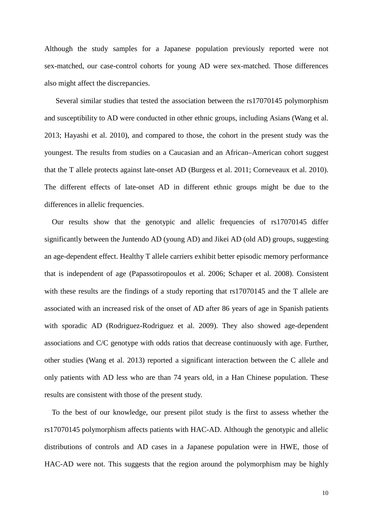Although the study samples for a Japanese population previously reported were not sex-matched, our case-control cohorts for young AD were sex-matched. Those differences also might affect the discrepancies.

Several similar studies that tested the association between the rs17070145 polymorphism and susceptibility to AD were conducted in other ethnic groups, including Asians [\(Wang et al.](#page-14-12)  [2013;](#page-14-12) [Hayashi et al. 2010\)](#page-13-9), and compared to those, the cohort in the present study was the youngest. The results from studies on a Caucasian and an African–American cohort suggest that the T allele protects against late-onset AD [\(Burgess et al. 2011;](#page-13-7) [Corneveaux et al. 2010\)](#page-13-8). The different effects of late-onset AD in different ethnic groups might be due to the differences in allelic frequencies.

Our results show that the genotypic and allelic frequencies of rs17070145 differ significantly between the Juntendo AD (young AD) and Jikei AD (old AD) groups, suggesting an age-dependent effect. Healthy T allele carriers exhibit better episodic memory performance that is independent of age [\(Papassotiropoulos et al. 2006;](#page-14-3) [Schaper et al. 2008\)](#page-14-6). Consistent with these results are the findings of a study reporting that rs17070145 and the T allele are associated with an increased risk of the onset of AD after 86 years of age in Spanish patients with sporadic AD [\(Rodriguez-Rodriguez et al. 2009\)](#page-14-13). They also showed age-dependent associations and C/C genotype with odds ratios that decrease continuously with age. Further, other studies [\(Wang et al. 2013\)](#page-14-12) reported a significant interaction between the C allele and only patients with AD less who are than 74 years old, in a Han Chinese population. These results are consistent with those of the present study.

To the best of our knowledge, our present pilot study is the first to assess whether the rs17070145 polymorphism affects patients with HAC-AD. Although the genotypic and allelic distributions of controls and AD cases in a Japanese population were in HWE, those of HAC-AD were not. This suggests that the region around the polymorphism may be highly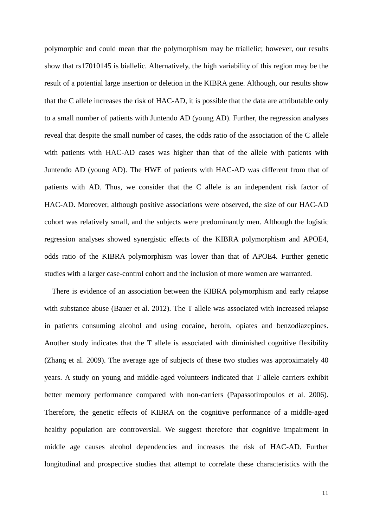polymorphic and could mean that the polymorphism may be triallelic; however, our results show that rs17010145 is biallelic. Alternatively, the high variability of this region may be the result of a potential large insertion or deletion in the KIBRA gene. Although, our results show that the C allele increases the risk of HAC-AD, it is possible that the data are attributable only to a small number of patients with Juntendo AD (young AD). Further, the regression analyses reveal that despite the small number of cases, the odds ratio of the association of the C allele with patients with HAC-AD cases was higher than that of the allele with patients with Juntendo AD (young AD). The HWE of patients with HAC-AD was different from that of patients with AD. Thus, we consider that the C allele is an independent risk factor of HAC-AD. Moreover, although positive associations were observed, the size of our HAC-AD cohort was relatively small, and the subjects were predominantly men. Although the logistic regression analyses showed synergistic effects of the KIBRA polymorphism and APOE4, odds ratio of the KIBRA polymorphism was lower than that of APOE4. Further genetic studies with a larger case-control cohort and the inclusion of more women are warranted.

There is evidence of an association between the KIBRA polymorphism and early relapse with substance abuse [\(Bauer et al. 2012\)](#page-13-10). The T allele was associated with increased relapse in patients consuming alcohol and using cocaine, heroin, opiates and benzodiazepines. Another study indicates that the T allele is associated with diminished cognitive flexibility [\(Zhang et al. 2009\)](#page-14-10). The average age of subjects of these two studies was approximately 40 years. A study on young and middle-aged volunteers indicated that T allele carriers exhibit better memory performance compared with non-carriers [\(Papassotiropoulos et al. 2006\)](#page-14-3). Therefore, the genetic effects of KIBRA on the cognitive performance of a middle-aged healthy population are controversial. We suggest therefore that cognitive impairment in middle age causes alcohol dependencies and increases the risk of HAC-AD. Further longitudinal and prospective studies that attempt to correlate these characteristics with the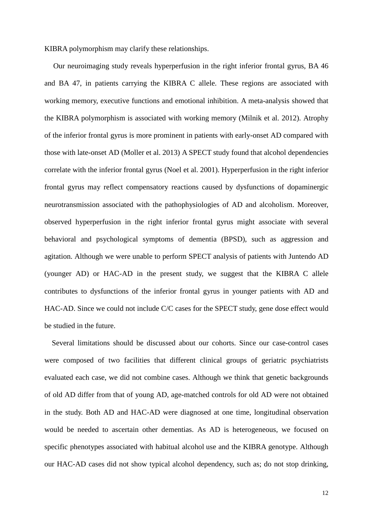KIBRA polymorphism may clarify these relationships.

Our neuroimaging study reveals hyperperfusion in the right inferior frontal gyrus, BA 46 and BA 47, in patients carrying the KIBRA C allele. These regions are associated with working memory, executive functions and emotional inhibition. A meta-analysis showed that the KIBRA polymorphism is associated with working memory [\(Milnik et al. 2012\)](#page-13-5). Atrophy of the inferior frontal gyrus is more prominent in patients with early-onset AD compared with those with late-onset AD [\(Moller et al. 2013\)](#page-13-14) A SPECT study found that alcohol dependencies correlate with the inferior frontal gyrus [\(Noel et al. 2001\)](#page-14-14). Hyperperfusion in the right inferior frontal gyrus may reflect compensatory reactions caused by dysfunctions of dopaminergic neurotransmission associated with the pathophysiologies of AD and alcoholism. Moreover, observed hyperperfusion in the right inferior frontal gyrus might associate with several behavioral and psychological symptoms of dementia (BPSD), such as aggression and agitation. Although we were unable to perform SPECT analysis of patients with Juntendo AD (younger AD) or HAC-AD in the present study, we suggest that the KIBRA C allele contributes to dysfunctions of the inferior frontal gyrus in younger patients with AD and HAC-AD. Since we could not include C/C cases for the SPECT study, gene dose effect would be studied in the future.

Several limitations should be discussed about our cohorts. Since our case-control cases were composed of two facilities that different clinical groups of geriatric psychiatrists evaluated each case, we did not combine cases. Although we think that genetic backgrounds of old AD differ from that of young AD, age-matched controls for old AD were not obtained in the study. Both AD and HAC-AD were diagnosed at one time, longitudinal observation would be needed to ascertain other dementias. As AD is heterogeneous, we focused on specific phenotypes associated with habitual alcohol use and the KIBRA genotype. Although our HAC-AD cases did not show typical alcohol dependency, such as; do not stop drinking,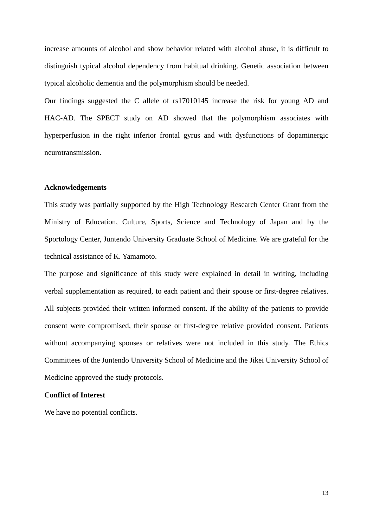increase amounts of alcohol and show behavior related with alcohol abuse, it is difficult to distinguish typical alcohol dependency from habitual drinking. Genetic association between typical alcoholic dementia and the polymorphism should be needed.

Our findings suggested the C allele of rs17010145 increase the risk for young AD and HAC-AD. The SPECT study on AD showed that the polymorphism associates with hyperperfusion in the right inferior frontal gyrus and with dysfunctions of dopaminergic neurotransmission.

#### **Acknowledgements**

This study was partially supported by the High Technology Research Center Grant from the Ministry of Education, Culture, Sports, Science and Technology of Japan and by the Sportology Center, Juntendo University Graduate School of Medicine. We are grateful for the technical assistance of K. Yamamoto.

The purpose and significance of this study were explained in detail in writing, including verbal supplementation as required, to each patient and their spouse or first-degree relatives. All subjects provided their written informed consent. If the ability of the patients to provide consent were compromised, their spouse or first-degree relative provided consent. Patients without accompanying spouses or relatives were not included in this study. The Ethics Committees of the Juntendo University School of Medicine and the Jikei University School of Medicine approved the study protocols.

## **Conflict of Interest**

We have no potential conflicts.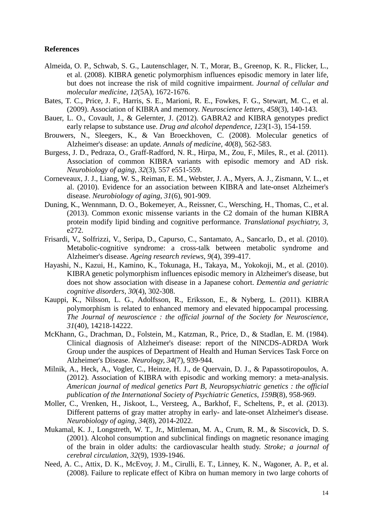#### **References**

- <span id="page-13-3"></span>Almeida, O. P., Schwab, S. G., Lautenschlager, N. T., Morar, B., Greenop, K. R., Flicker, L., et al. (2008). KIBRA genetic polymorphism influences episodic memory in later life, but does not increase the risk of mild cognitive impairment. *Journal of cellular and molecular medicine, 12*(5A), 1672-1676.
- <span id="page-13-4"></span>Bates, T. C., Price, J. F., Harris, S. E., Marioni, R. E., Fowkes, F. G., Stewart, M. C., et al. (2009). Association of KIBRA and memory. *Neuroscience letters, 458*(3), 140-143.
- <span id="page-13-10"></span>Bauer, L. O., Covault, J., & Gelernter, J. (2012). GABRA2 and KIBRA genotypes predict early relapse to substance use. *Drug and alcohol dependence, 123*(1-3), 154-159.
- <span id="page-13-0"></span>Brouwers, N., Sleegers, K., & Van Broeckhoven, C. (2008). Molecular genetics of Alzheimer's disease: an update. *Annals of medicine, 40*(8), 562-583.
- <span id="page-13-7"></span>Burgess, J. D., Pedraza, O., Graff-Radford, N. R., Hirpa, M., Zou, F., Miles, R., et al. (2011). Association of common KIBRA variants with episodic memory and AD risk. *Neurobiology of aging, 32*(3), 557 e551-559.
- <span id="page-13-8"></span>Corneveaux, J. J., Liang, W. S., Reiman, E. M., Webster, J. A., Myers, A. J., Zismann, V. L., et al. (2010). Evidence for an association between KIBRA and late-onset Alzheimer's disease. *Neurobiology of aging, 31*(6), 901-909.
- <span id="page-13-2"></span>Duning, K., Wennmann, D. O., Bokemeyer, A., Reissner, C., Wersching, H., Thomas, C., et al. (2013). Common exonic missense variants in the C2 domain of the human KIBRA protein modify lipid binding and cognitive performance. *Translational psychiatry, 3*, e272.
- <span id="page-13-1"></span>Frisardi, V., Solfrizzi, V., Seripa, D., Capurso, C., Santamato, A., Sancarlo, D., et al. (2010). Metabolic-cognitive syndrome: a cross-talk between metabolic syndrome and Alzheimer's disease. *Ageing research reviews, 9*(4), 399-417.
- <span id="page-13-9"></span>Hayashi, N., Kazui, H., Kamino, K., Tokunaga, H., Takaya, M., Yokokoji, M., et al. (2010). KIBRA genetic polymorphism influences episodic memory in Alzheimer's disease, but does not show association with disease in a Japanese cohort. *Dementia and geriatric cognitive disorders, 30*(4), 302-308.
- <span id="page-13-11"></span>Kauppi, K., Nilsson, L. G., Adolfsson, R., Eriksson, E., & Nyberg, L. (2011). KIBRA polymorphism is related to enhanced memory and elevated hippocampal processing. *The Journal of neuroscience : the official journal of the Society for Neuroscience, 31*(40), 14218-14222.
- <span id="page-13-12"></span>McKhann, G., Drachman, D., Folstein, M., Katzman, R., Price, D., & Stadlan, E. M. (1984). Clinical diagnosis of Alzheimer's disease: report of the NINCDS-ADRDA Work Group under the auspices of Department of Health and Human Services Task Force on Alzheimer's Disease. *Neurology, 34*(7), 939-944.
- <span id="page-13-5"></span>Milnik, A., Heck, A., Vogler, C., Heinze, H. J., de Quervain, D. J., & Papassotiropoulos, A. (2012). Association of KIBRA with episodic and working memory: a meta-analysis. *American journal of medical genetics Part B, Neuropsychiatric genetics : the official publication of the International Society of Psychiatric Genetics, 159B*(8), 958-969.
- <span id="page-13-14"></span>Moller, C., Vrenken, H., Jiskoot, L., Versteeg, A., Barkhof, F., Scheltens, P., et al. (2013). Different patterns of gray matter atrophy in early- and late-onset Alzheimer's disease. *Neurobiology of aging, 34*(8), 2014-2022.
- <span id="page-13-13"></span>Mukamal, K. J., Longstreth, W. T., Jr., Mittleman, M. A., Crum, R. M., & Siscovick, D. S. (2001). Alcohol consumption and subclinical findings on magnetic resonance imaging of the brain in older adults: the cardiovascular health study. *Stroke; a journal of cerebral circulation, 32*(9), 1939-1946.
- <span id="page-13-6"></span>Need, A. C., Attix, D. K., McEvoy, J. M., Cirulli, E. T., Linney, K. N., Wagoner, A. P., et al. (2008). Failure to replicate effect of Kibra on human memory in two large cohorts of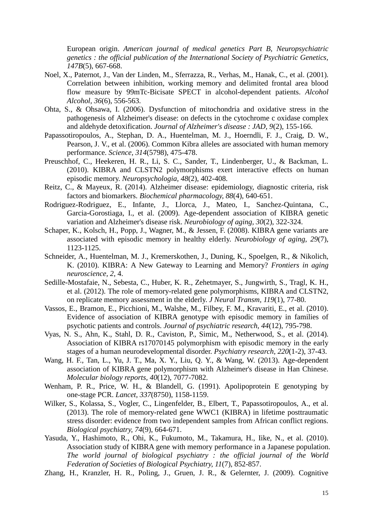European origin. *American journal of medical genetics Part B, Neuropsychiatric genetics : the official publication of the International Society of Psychiatric Genetics, 147B*(5), 667-668.

- <span id="page-14-14"></span>Noel, X., Paternot, J., Van der Linden, M., Sferrazza, R., Verhas, M., Hanak, C., et al. (2001). Correlation between inhibition, working memory and delimited frontal area blood flow measure by 99mTc-Bicisate SPECT in alcohol-dependent patients. *Alcohol Alcohol, 36*(6), 556-563.
- <span id="page-14-1"></span>Ohta, S., & Ohsawa, I. (2006). Dysfunction of mitochondria and oxidative stress in the pathogenesis of Alzheimer's disease: on defects in the cytochrome c oxidase complex and aldehyde detoxification. *Journal of Alzheimer's disease : JAD, 9*(2), 155-166.
- <span id="page-14-3"></span>Papassotiropoulos, A., Stephan, D. A., Huentelman, M. J., Hoerndli, F. J., Craig, D. W., Pearson, J. V., et al. (2006). Common Kibra alleles are associated with human memory performance. *Science, 314*(5798), 475-478.
- <span id="page-14-4"></span>Preuschhof, C., Heekeren, H. R., Li, S. C., Sander, T., Lindenberger, U., & Backman, L. (2010). KIBRA and CLSTN2 polymorphisms exert interactive effects on human episodic memory. *Neuropsychologia, 48*(2), 402-408.
- <span id="page-14-0"></span>Reitz, C., & Mayeux, R. (2014). Alzheimer disease: epidemiology, diagnostic criteria, risk factors and biomarkers. *Biochemical pharmacology, 88*(4), 640-651.
- <span id="page-14-13"></span>Rodriguez-Rodriguez, E., Infante, J., Llorca, J., Mateo, I., Sanchez-Quintana, C., Garcia-Gorostiaga, I., et al. (2009). Age-dependent association of KIBRA genetic variation and Alzheimer's disease risk. *Neurobiology of aging, 30*(2), 322-324.
- <span id="page-14-6"></span>Schaper, K., Kolsch, H., Popp, J., Wagner, M., & Jessen, F. (2008). KIBRA gene variants are associated with episodic memory in healthy elderly. *Neurobiology of aging, 29*(7), 1123-1125.
- <span id="page-14-2"></span>Schneider, A., Huentelman, M. J., Kremerskothen, J., Duning, K., Spoelgen, R., & Nikolich, K. (2010). KIBRA: A New Gateway to Learning and Memory? *Frontiers in aging neuroscience, 2*, 4.
- <span id="page-14-7"></span>Sedille-Mostafaie, N., Sebesta, C., Huber, K. R., Zehetmayer, S., Jungwirth, S., Tragl, K. H., et al. (2012). The role of memory-related gene polymorphisms, KIBRA and CLSTN2, on replicate memory assessment in the elderly. *J Neural Transm, 119*(1), 77-80.
- <span id="page-14-8"></span>Vassos, E., Bramon, E., Picchioni, M., Walshe, M., Filbey, F. M., Kravariti, E., et al. (2010). Evidence of association of KIBRA genotype with episodic memory in families of psychotic patients and controls. *Journal of psychiatric research, 44*(12), 795-798.
- <span id="page-14-9"></span>Vyas, N. S., Ahn, K., Stahl, D. R., Caviston, P., Simic, M., Netherwood, S., et al. (2014). Association of KIBRA rs17070145 polymorphism with episodic memory in the early stages of a human neurodevelopmental disorder. *Psychiatry research, 220*(1-2), 37-43.
- <span id="page-14-12"></span>Wang, H. F., Tan, L., Yu, J. T., Ma, X. Y., Liu, Q. Y., & Wang, W. (2013). Age-dependent association of KIBRA gene polymorphism with Alzheimer's disease in Han Chinese. *Molecular biology reports, 40*(12), 7077-7082.
- <span id="page-14-11"></span>Wenham, P. R., Price, W. H., & Blandell, G. (1991). Apolipoprotein E genotyping by one-stage PCR. *Lancet, 337*(8750), 1158-1159.
- Wilker, S., Kolassa, S., Vogler, C., Lingenfelder, B., Elbert, T., Papassotiropoulos, A., et al. (2013). The role of memory-related gene WWC1 (KIBRA) in lifetime posttraumatic stress disorder: evidence from two independent samples from African conflict regions. *Biological psychiatry, 74*(9), 664-671.
- <span id="page-14-5"></span>Yasuda, Y., Hashimoto, R., Ohi, K., Fukumoto, M., Takamura, H., Iike, N., et al. (2010). Association study of KIBRA gene with memory performance in a Japanese population. *The world journal of biological psychiatry : the official journal of the World Federation of Societies of Biological Psychiatry, 11*(7), 852-857.
- <span id="page-14-10"></span>Zhang, H., Kranzler, H. R., Poling, J., Gruen, J. R., & Gelernter, J. (2009). Cognitive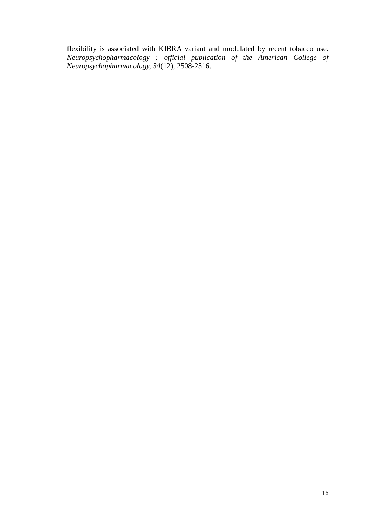flexibility is associated with KIBRA variant and modulated by recent tobacco use. *Neuropsychopharmacology : official publication of the American College of Neuropsychopharmacology, 34*(12), 2508-2516.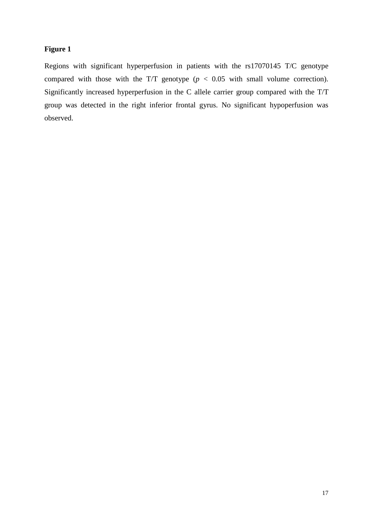# **Figure 1**

Regions with significant hyperperfusion in patients with the rs17070145 T/C genotype compared with those with the T/T genotype  $(p < 0.05$  with small volume correction). Significantly increased hyperperfusion in the C allele carrier group compared with the T/T group was detected in the right inferior frontal gyrus. No significant hypoperfusion was observed.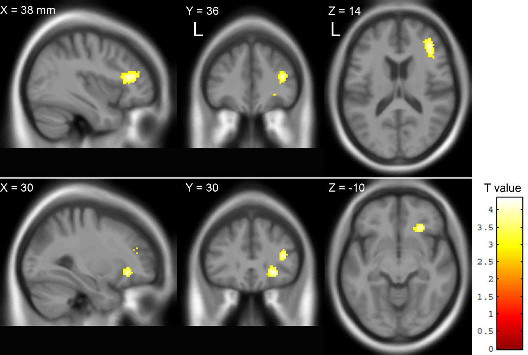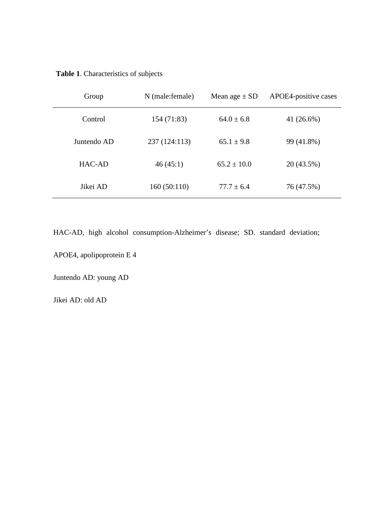**Table 1**. Characteristics of subjects

| Group       | N (male: female) | Mean age $\pm$ SD | APOE4-positive cases |  |
|-------------|------------------|-------------------|----------------------|--|
| Control     | 154 (71:83)      | $64.0 \pm 6.8$    | 41 $(26.6\%)$        |  |
| Juntendo AD | 237 (124:113)    | $65.1 \pm 9.8$    | 99 (41.8%)           |  |
| HAC-AD      | 46(45:1)         | $65.2 \pm 10.0$   | 20 (43.5%)           |  |
| Jikei AD    | 160(50:110)      | $77.7 \pm 6.4$    | 76 (47.5%)           |  |

HAC-AD, high alcohol consumption-Alzheimer's disease; SD. standard deviation;

APOE4, apolipoprotein E 4

Juntendo AD: young AD

Jikei AD: old AD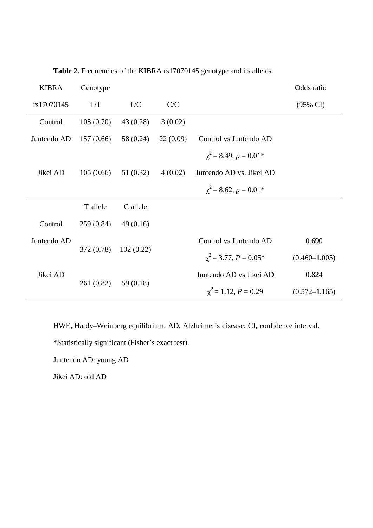| <b>KIBRA</b>              | Genotype                                                      |           |                        |                             | Odds ratio          |
|---------------------------|---------------------------------------------------------------|-----------|------------------------|-----------------------------|---------------------|
| rs17070145                | T/T                                                           | T/C       | C/C                    |                             | $(95\% \text{ CI})$ |
| Control                   | 108(0.70)                                                     | 43(0.28)  | 3(0.02)                |                             |                     |
| Juntendo AD               | 157(0.66)                                                     | 58 (0.24) | 22(0.09)               | Control vs Juntendo AD      |                     |
|                           |                                                               |           |                        | $\chi^2 = 8.49, p = 0.01*$  |                     |
| Jikei AD                  | 105(0.66)<br>51 (0.32)<br>4(0.02)<br>Juntendo AD vs. Jikei AD |           |                        |                             |                     |
|                           |                                                               |           |                        | $\chi^2$ = 8.62, p = 0.01*  |                     |
|                           | T allele                                                      | C allele  |                        |                             |                     |
| Control                   | 259 (0.84)                                                    | 49(0.16)  |                        |                             |                     |
| Juntendo AD<br>372 (0.78) |                                                               |           | Control vs Juntendo AD | 0.690                       |                     |
|                           |                                                               | 102(0.22) |                        | $\chi^2$ = 3.77, P = 0.05*  | $(0.460 - 1.005)$   |
| Jikei AD                  | 261 (0.82)                                                    | 59 (0.18) |                        | Juntendo AD vs Jikei AD     | 0.824               |
|                           |                                                               |           |                        | $\gamma^2$ = 1.12, P = 0.29 | $(0.572 - 1.165)$   |

**Table 2.** Frequencies of the KIBRA rs17070145 genotype and its alleles

HWE, Hardy–Weinberg equilibrium; AD, Alzheimer's disease; CI, confidence interval.

\*Statistically significant (Fisher's exact test).

Juntendo AD: young AD

Jikei AD: old AD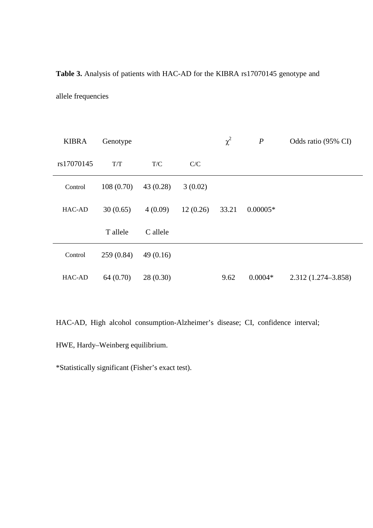# **Table 3.** Analysis of patients with HAC-AD for the KIBRA rs17070145 genotype and allele frequencies

| <b>KIBRA</b> | Genotype  |           |          | $\chi^2$ | $\boldsymbol{P}$ | Odds ratio (95% CI) |
|--------------|-----------|-----------|----------|----------|------------------|---------------------|
| rs17070145   | T/T       | T/C       | C/C      |          |                  |                     |
| Control      | 108(0.70) | 43 (0.28) | 3(0.02)  |          |                  |                     |
| HAC-AD       | 30(0.65)  | 4(0.09)   | 12(0.26) | 33.21    | $0.00005*$       |                     |
|              | T allele  | C allele  |          |          |                  |                     |
| Control      | 259(0.84) | 49(0.16)  |          |          |                  |                     |
| HAC-AD       | 64 (0.70) | 28(0.30)  |          | 9.62     | $0.0004*$        | 2.312 (1.274–3.858) |

HAC-AD, High alcohol consumption-Alzheimer's disease; CI, confidence interval;

HWE, Hardy–Weinberg equilibrium.

\*Statistically significant (Fisher's exact test).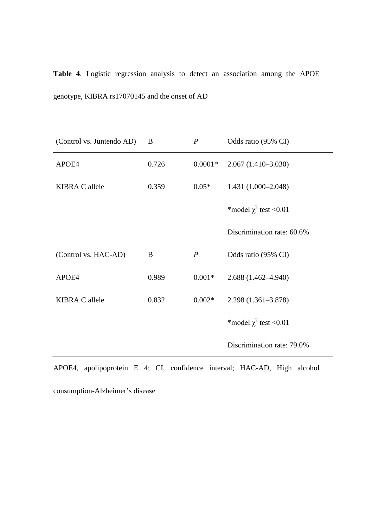**Table 4**. Logistic regression analysis to detect an association among the APOE genotype, KIBRA rs17070145 and the onset of AD

| (Control vs. Juntendo AD) | B     | $\boldsymbol{P}$ | Odds ratio (95% CI)         |
|---------------------------|-------|------------------|-----------------------------|
| APOE4                     | 0.726 | $0.0001*$        | $2.067(1.410-3.030)$        |
| <b>KIBRA C</b> allele     | 0.359 | $0.05*$          | 1.431 (1.000-2.048)         |
|                           |       |                  | *model $\chi^2$ test < 0.01 |
|                           |       |                  | Discrimination rate: 60.6%  |
| (Control vs. HAC-AD)      | B     | $\boldsymbol{P}$ | Odds ratio (95% CI)         |
| APOE4                     | 0.989 | $0.001*$         | 2.688 (1.462-4.940)         |
| <b>KIBRA C</b> allele     | 0.832 | $0.002*$         | 2.298 (1.361-3.878)         |
|                           |       |                  | *model $\chi^2$ test <0.01  |
|                           |       |                  | Discrimination rate: 79.0%  |

APOE4, apolipoprotein E 4; CI, confidence interval; HAC-AD, High alcohol

consumption-Alzheimer's disease